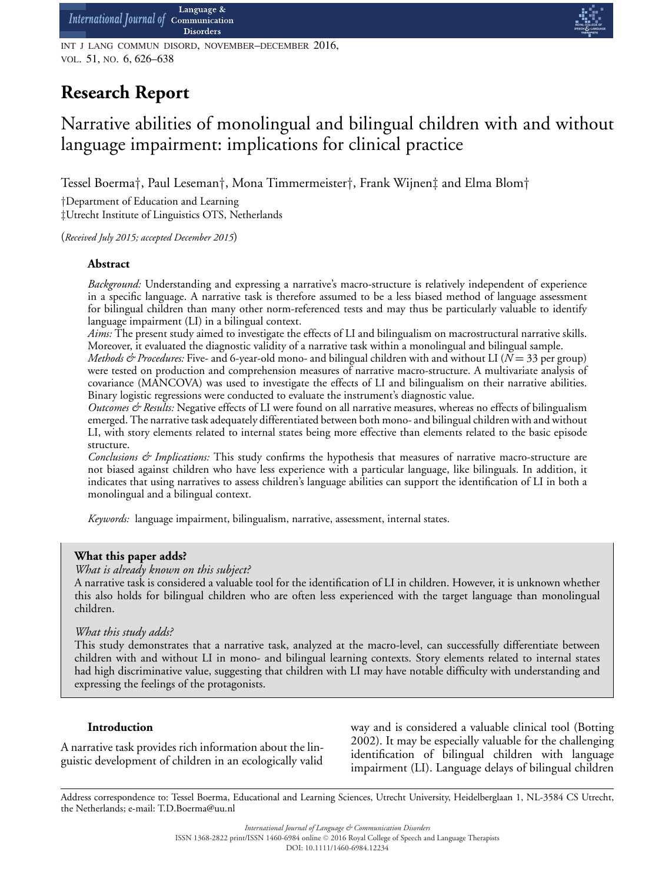INT J LANG COMMUN DISORD, NOVEMBER–DECEMBER 2016, VOL. 51, NO. 6, 626–638

# **Research Report**

# Narrative abilities of monolingual and bilingual children with and without language impairment: implications for clinical practice

Tessel Boerma*†*, Paul Leseman*†*, Mona Timmermeister*†*, Frank Wijnen*‡* and Elma Blom*†*

*†*Department of Education and Learning *‡*Utrecht Institute of Linguistics OTS, Netherlands

(*Received July 2015; accepted December 2015*)

## **Abstract**

*Background:* Understanding and expressing a narrative's macro-structure is relatively independent of experience in a specific language. A narrative task is therefore assumed to be a less biased method of language assessment for bilingual children than many other norm-referenced tests and may thus be particularly valuable to identify language impairment (LI) in a bilingual context.

*Aims:* The present study aimed to investigate the effects of LI and bilingualism on macrostructural narrative skills. Moreover, it evaluated the diagnostic validity of a narrative task within a monolingual and bilingual sample.

*Methods & Procedures:* Five- and 6-year-old mono- and bilingual children with and without LI (*N* = 33 per group) were tested on production and comprehension measures of narrative macro-structure. A multivariate analysis of covariance (MANCOVA) was used to investigate the effects of LI and bilingualism on their narrative abilities. Binary logistic regressions were conducted to evaluate the instrument's diagnostic value.

*Outcomes & Results:* Negative effects of LI were found on all narrative measures, whereas no effects of bilingualism emerged. The narrative task adequately differentiated between both mono- and bilingual children with and without LI, with story elements related to internal states being more effective than elements related to the basic episode structure.

*Conclusions & Implications:* This study confirms the hypothesis that measures of narrative macro-structure are not biased against children who have less experience with a particular language, like bilinguals. In addition, it indicates that using narratives to assess children's language abilities can support the identification of LI in both a monolingual and a bilingual context.

*Keywords:* language impairment, bilingualism, narrative, assessment, internal states.

# **What this paper adds?**

*What is already known on this subject?*

A narrative task is considered a valuable tool for the identification of LI in children. However, it is unknown whether this also holds for bilingual children who are often less experienced with the target language than monolingual children.

## *What this study adds?*

This study demonstrates that a narrative task, analyzed at the macro-level, can successfully differentiate between children with and without LI in mono- and bilingual learning contexts. Story elements related to internal states had high discriminative value, suggesting that children with LI may have notable difficulty with understanding and expressing the feelings of the protagonists.

# **Introduction**

A narrative task provides rich information about the linguistic development of children in an ecologically valid

way and is considered a valuable clinical tool (Botting 2002). It may be especially valuable for the challenging identification of bilingual children with language impairment (LI). Language delays of bilingual children

Address correspondence to: Tessel Boerma, Educational and Learning Sciences, Utrecht University, Heidelberglaan 1, NL-3584 CS Utrecht, the Netherlands; e-mail: T.D.Boerma@uu.nl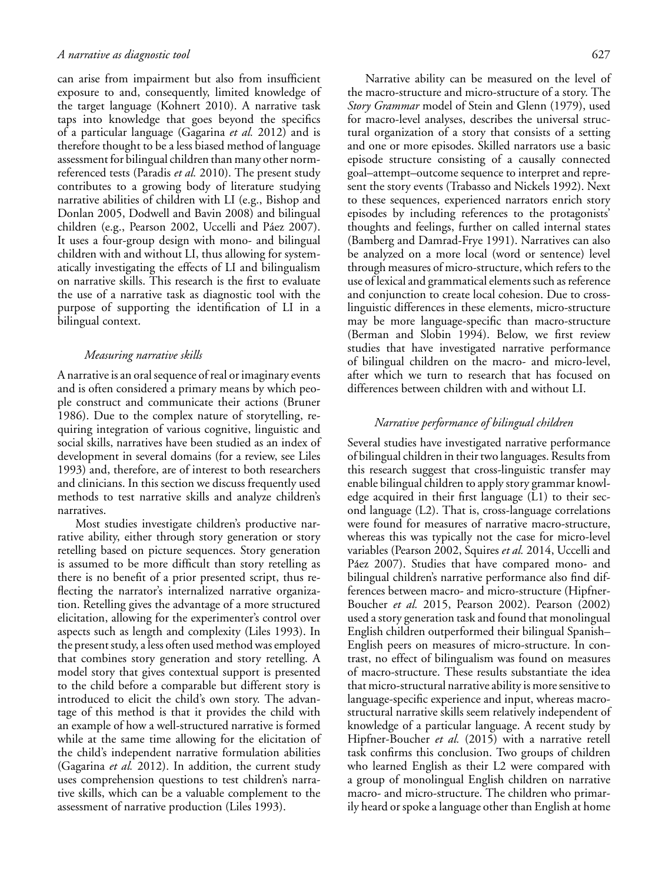can arise from impairment but also from insufficient exposure to and, consequently, limited knowledge of the target language (Kohnert 2010). A narrative task taps into knowledge that goes beyond the specifics of a particular language (Gagarina *et al.* 2012) and is therefore thought to be a less biased method of language assessment for bilingual children than many other normreferenced tests (Paradis *et al.* 2010). The present study contributes to a growing body of literature studying narrative abilities of children with LI (e.g., Bishop and Donlan 2005, Dodwell and Bavin 2008) and bilingual children (e.g., Pearson 2002, Uccelli and Páez 2007). It uses a four-group design with mono- and bilingual children with and without LI, thus allowing for systematically investigating the effects of LI and bilingualism on narrative skills. This research is the first to evaluate the use of a narrative task as diagnostic tool with the purpose of supporting the identification of LI in a bilingual context.

## *Measuring narrative skills*

A narrative is an oral sequence of real or imaginary events and is often considered a primary means by which people construct and communicate their actions (Bruner 1986). Due to the complex nature of storytelling, requiring integration of various cognitive, linguistic and social skills, narratives have been studied as an index of development in several domains (for a review, see Liles 1993) and, therefore, are of interest to both researchers and clinicians. In this section we discuss frequently used methods to test narrative skills and analyze children's narratives.

Most studies investigate children's productive narrative ability, either through story generation or story retelling based on picture sequences. Story generation is assumed to be more difficult than story retelling as there is no benefit of a prior presented script, thus reflecting the narrator's internalized narrative organization. Retelling gives the advantage of a more structured elicitation, allowing for the experimenter's control over aspects such as length and complexity (Liles 1993). In the present study, a less often used method was employed that combines story generation and story retelling. A model story that gives contextual support is presented to the child before a comparable but different story is introduced to elicit the child's own story. The advantage of this method is that it provides the child with an example of how a well-structured narrative is formed while at the same time allowing for the elicitation of the child's independent narrative formulation abilities (Gagarina *et al.* 2012). In addition, the current study uses comprehension questions to test children's narrative skills, which can be a valuable complement to the assessment of narrative production (Liles 1993).

Narrative ability can be measured on the level of the macro-structure and micro-structure of a story. The *Story Grammar* model of Stein and Glenn (1979), used for macro-level analyses, describes the universal structural organization of a story that consists of a setting and one or more episodes. Skilled narrators use a basic episode structure consisting of a causally connected goal–attempt–outcome sequence to interpret and represent the story events (Trabasso and Nickels 1992). Next to these sequences, experienced narrators enrich story episodes by including references to the protagonists' thoughts and feelings, further on called internal states (Bamberg and Damrad-Frye 1991). Narratives can also be analyzed on a more local (word or sentence) level through measures of micro-structure, which refers to the use of lexical and grammatical elements such as reference and conjunction to create local cohesion. Due to crosslinguistic differences in these elements, micro-structure may be more language-specific than macro-structure (Berman and Slobin 1994). Below, we first review studies that have investigated narrative performance of bilingual children on the macro- and micro-level, after which we turn to research that has focused on differences between children with and without LI.

## *Narrative performance of bilingual children*

Several studies have investigated narrative performance of bilingual children in their two languages. Results from this research suggest that cross-linguistic transfer may enable bilingual children to apply story grammar knowledge acquired in their first language (L1) to their second language (L2). That is, cross-language correlations were found for measures of narrative macro-structure, whereas this was typically not the case for micro-level variables (Pearson 2002, Squires *et al.* 2014, Uccelli and Páez 2007). Studies that have compared mono- and bilingual children's narrative performance also find differences between macro- and micro-structure (Hipfner-Boucher *et al.* 2015, Pearson 2002). Pearson (2002) used a story generation task and found that monolingual English children outperformed their bilingual Spanish– English peers on measures of micro-structure. In contrast, no effect of bilingualism was found on measures of macro-structure. These results substantiate the idea that micro-structural narrative ability is more sensitive to language-specific experience and input, whereas macrostructural narrative skills seem relatively independent of knowledge of a particular language. A recent study by Hipfner-Boucher *et al.* (2015) with a narrative retell task confirms this conclusion. Two groups of children who learned English as their L2 were compared with a group of monolingual English children on narrative macro- and micro-structure. The children who primarily heard or spoke a language other than English at home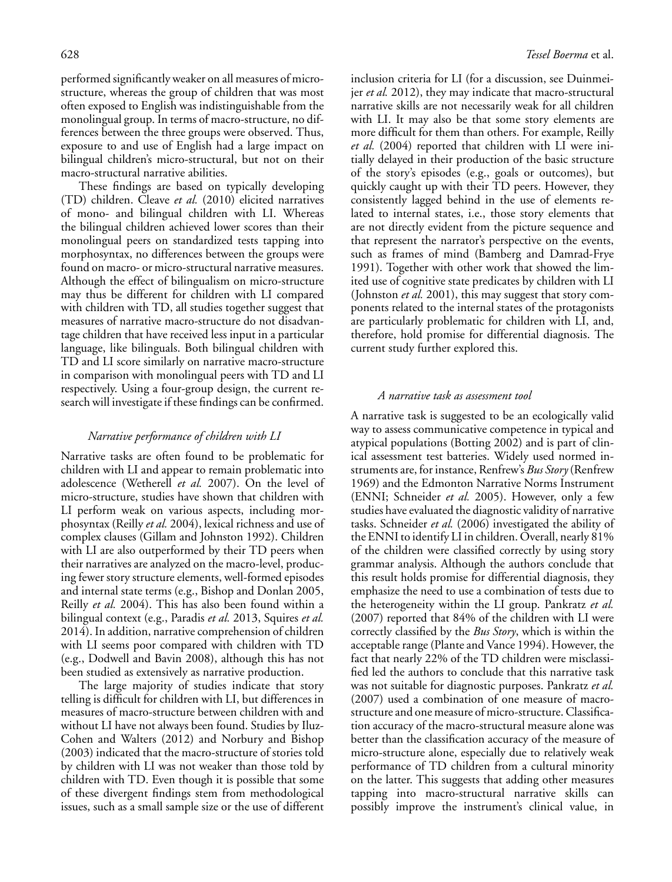performed significantly weaker on all measures of microstructure, whereas the group of children that was most often exposed to English was indistinguishable from the monolingual group. In terms of macro-structure, no differences between the three groups were observed. Thus, exposure to and use of English had a large impact on bilingual children's micro-structural, but not on their macro-structural narrative abilities.

These findings are based on typically developing (TD) children. Cleave *et al.* (2010) elicited narratives of mono- and bilingual children with LI. Whereas the bilingual children achieved lower scores than their monolingual peers on standardized tests tapping into morphosyntax, no differences between the groups were found on macro- or micro-structural narrative measures. Although the effect of bilingualism on micro-structure may thus be different for children with LI compared with children with TD, all studies together suggest that measures of narrative macro-structure do not disadvantage children that have received less input in a particular language, like bilinguals. Both bilingual children with TD and LI score similarly on narrative macro-structure in comparison with monolingual peers with TD and LI respectively. Using a four-group design, the current research will investigate if these findings can be confirmed.

#### *Narrative performance of children with LI*

Narrative tasks are often found to be problematic for children with LI and appear to remain problematic into adolescence (Wetherell *et al.* 2007). On the level of micro-structure, studies have shown that children with LI perform weak on various aspects, including morphosyntax (Reilly *et al.* 2004), lexical richness and use of complex clauses (Gillam and Johnston 1992). Children with LI are also outperformed by their TD peers when their narratives are analyzed on the macro-level, producing fewer story structure elements, well-formed episodes and internal state terms (e.g., Bishop and Donlan 2005, Reilly *et al.* 2004). This has also been found within a bilingual context (e.g., Paradis *et al.* 2013, Squires *et al.* 2014). In addition, narrative comprehension of children with LI seems poor compared with children with TD (e.g., Dodwell and Bavin 2008), although this has not been studied as extensively as narrative production.

The large majority of studies indicate that story telling is difficult for children with LI, but differences in measures of macro-structure between children with and without LI have not always been found. Studies by Iluz-Cohen and Walters (2012) and Norbury and Bishop (2003) indicated that the macro-structure of stories told by children with LI was not weaker than those told by children with TD. Even though it is possible that some of these divergent findings stem from methodological issues, such as a small sample size or the use of different

inclusion criteria for LI (for a discussion, see Duinmeijer *et al.* 2012), they may indicate that macro-structural narrative skills are not necessarily weak for all children with LI. It may also be that some story elements are more difficult for them than others. For example, Reilly *et al.* (2004) reported that children with LI were initially delayed in their production of the basic structure of the story's episodes (e.g., goals or outcomes), but quickly caught up with their TD peers. However, they consistently lagged behind in the use of elements related to internal states, i.e., those story elements that are not directly evident from the picture sequence and that represent the narrator's perspective on the events, such as frames of mind (Bamberg and Damrad-Frye 1991). Together with other work that showed the limited use of cognitive state predicates by children with LI (Johnston *et al.* 2001), this may suggest that story components related to the internal states of the protagonists are particularly problematic for children with LI, and, therefore, hold promise for differential diagnosis. The current study further explored this.

## *A narrative task as assessment tool*

A narrative task is suggested to be an ecologically valid way to assess communicative competence in typical and atypical populations (Botting 2002) and is part of clinical assessment test batteries. Widely used normed instruments are, for instance, Renfrew's *Bus Story*(Renfrew 1969) and the Edmonton Narrative Norms Instrument (ENNI; Schneider *et al.* 2005). However, only a few studies have evaluated the diagnostic validity of narrative tasks. Schneider *et al.* (2006) investigated the ability of the ENNI to identify LI in children. Overall, nearly 81% of the children were classified correctly by using story grammar analysis. Although the authors conclude that this result holds promise for differential diagnosis, they emphasize the need to use a combination of tests due to the heterogeneity within the LI group. Pankratz *et al.* (2007) reported that 84% of the children with LI were correctly classified by the *Bus Story*, which is within the acceptable range (Plante and Vance 1994). However, the fact that nearly 22% of the TD children were misclassified led the authors to conclude that this narrative task was not suitable for diagnostic purposes. Pankratz *et al.* (2007) used a combination of one measure of macrostructure and one measure of micro-structure. Classification accuracy of the macro-structural measure alone was better than the classification accuracy of the measure of micro-structure alone, especially due to relatively weak performance of TD children from a cultural minority on the latter. This suggests that adding other measures tapping into macro-structural narrative skills can possibly improve the instrument's clinical value, in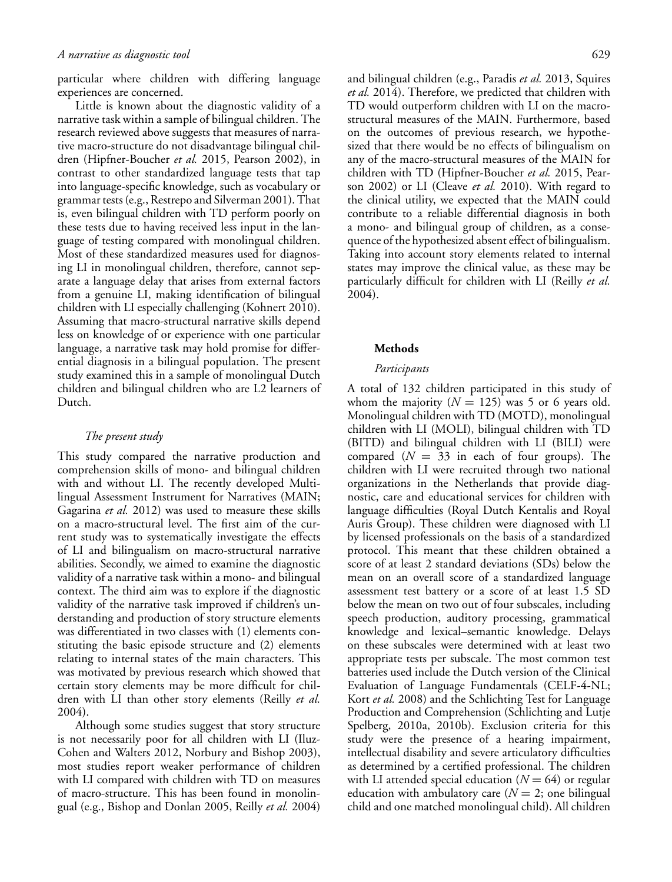particular where children with differing language experiences are concerned.

Little is known about the diagnostic validity of a narrative task within a sample of bilingual children. The research reviewed above suggests that measures of narrative macro-structure do not disadvantage bilingual children (Hipfner-Boucher *et al.* 2015, Pearson 2002), in contrast to other standardized language tests that tap into language-specific knowledge, such as vocabulary or grammar tests (e.g., Restrepo and Silverman 2001). That is, even bilingual children with TD perform poorly on these tests due to having received less input in the language of testing compared with monolingual children. Most of these standardized measures used for diagnosing LI in monolingual children, therefore, cannot separate a language delay that arises from external factors from a genuine LI, making identification of bilingual children with LI especially challenging (Kohnert 2010). Assuming that macro-structural narrative skills depend less on knowledge of or experience with one particular language, a narrative task may hold promise for differential diagnosis in a bilingual population. The present study examined this in a sample of monolingual Dutch children and bilingual children who are L2 learners of Dutch.

#### *The present study*

This study compared the narrative production and comprehension skills of mono- and bilingual children with and without LI. The recently developed Multilingual Assessment Instrument for Narratives (MAIN; Gagarina *et al.* 2012) was used to measure these skills on a macro-structural level. The first aim of the current study was to systematically investigate the effects of LI and bilingualism on macro-structural narrative abilities. Secondly, we aimed to examine the diagnostic validity of a narrative task within a mono- and bilingual context. The third aim was to explore if the diagnostic validity of the narrative task improved if children's understanding and production of story structure elements was differentiated in two classes with (1) elements constituting the basic episode structure and (2) elements relating to internal states of the main characters. This was motivated by previous research which showed that certain story elements may be more difficult for children with LI than other story elements (Reilly *et al.* 2004).

Although some studies suggest that story structure is not necessarily poor for all children with LI (Iluz-Cohen and Walters 2012, Norbury and Bishop 2003), most studies report weaker performance of children with LI compared with children with TD on measures of macro-structure. This has been found in monolingual (e.g., Bishop and Donlan 2005, Reilly *et al.* 2004)

and bilingual children (e.g., Paradis *et al.* 2013, Squires *et al.* 2014). Therefore, we predicted that children with TD would outperform children with LI on the macrostructural measures of the MAIN. Furthermore, based on the outcomes of previous research, we hypothesized that there would be no effects of bilingualism on any of the macro-structural measures of the MAIN for children with TD (Hipfner-Boucher *et al.* 2015, Pearson 2002) or LI (Cleave *et al.* 2010). With regard to the clinical utility, we expected that the MAIN could contribute to a reliable differential diagnosis in both a mono- and bilingual group of children, as a consequence of the hypothesized absent effect of bilingualism. Taking into account story elements related to internal states may improve the clinical value, as these may be particularly difficult for children with LI (Reilly *et al.* 2004).

## **Methods**

#### *Participants*

A total of 132 children participated in this study of whom the majority  $(N = 125)$  was 5 or 6 years old. Monolingual children with TD (MOTD), monolingual children with LI (MOLI), bilingual children with TD (BITD) and bilingual children with LI (BILI) were compared  $(N = 33$  in each of four groups). The children with LI were recruited through two national organizations in the Netherlands that provide diagnostic, care and educational services for children with language difficulties (Royal Dutch Kentalis and Royal Auris Group). These children were diagnosed with LI by licensed professionals on the basis of a standardized protocol. This meant that these children obtained a score of at least 2 standard deviations (SDs) below the mean on an overall score of a standardized language assessment test battery or a score of at least 1.5 SD below the mean on two out of four subscales, including speech production, auditory processing, grammatical knowledge and lexical–semantic knowledge. Delays on these subscales were determined with at least two appropriate tests per subscale. The most common test batteries used include the Dutch version of the Clinical Evaluation of Language Fundamentals (CELF-4-NL; Kort *et al.* 2008) and the Schlichting Test for Language Production and Comprehension (Schlichting and Lutje Spelberg, 2010a, 2010b). Exclusion criteria for this study were the presence of a hearing impairment, intellectual disability and severe articulatory difficulties as determined by a certified professional. The children with LI attended special education  $(N = 64)$  or regular education with ambulatory care  $(N = 2)$ ; one bilingual child and one matched monolingual child). All children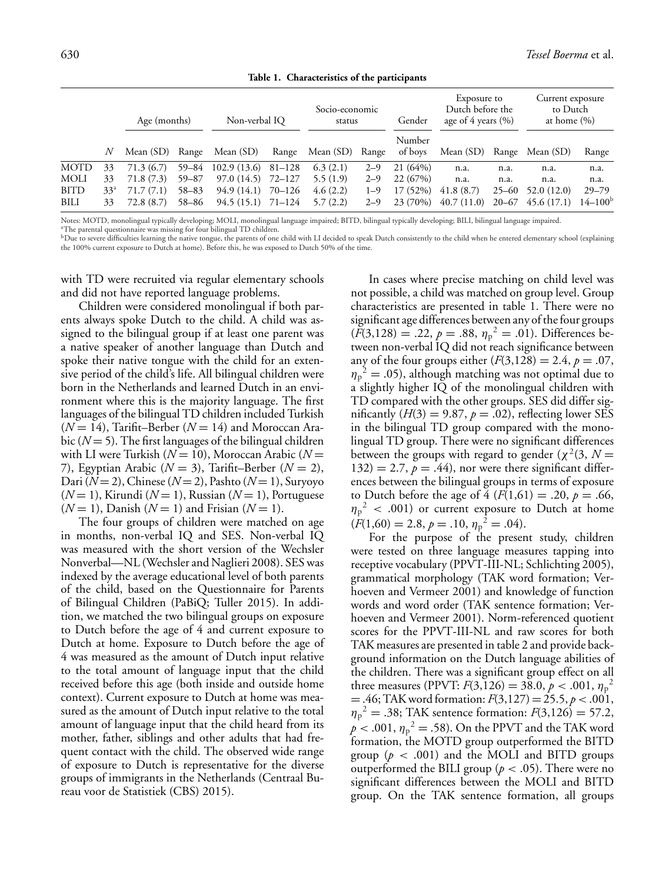|             |              | Age (months) |           | Non-verbal IO        |        | Socio-economic<br>status |         | Gender            | Exposure to<br>Dutch before the<br>age of 4 years $(\% )$ |           | Current exposure<br>to Dutch<br>at home $(\% )$ |             |
|-------------|--------------|--------------|-----------|----------------------|--------|--------------------------|---------|-------------------|-----------------------------------------------------------|-----------|-------------------------------------------------|-------------|
|             | N            | Mean (SD)    | Range     | Mean (SD)            | Range  | Mean (SD)                | Range   | Number<br>of boys | Mean (SD)                                                 |           | Range Mean (SD)                                 | Range       |
| <b>MOTD</b> | 33           | 71.3 (6.7)   | 59–84     | $102.9(13.6)$ 81-128 |        | 6.3(2.1)                 | $2 - 9$ | 21 (64%)          | n.a.                                                      | n.a.      | n.a.                                            | n.a.        |
| MOLI        | 33           | 71.8(7.3)    | 59-87     | 97.0 (14.5)          | 72–127 | 5.5(1.9)                 | $2 - 9$ | 22 (67%)          | n.a.                                                      | n.a.      | n.a.                                            | n.a.        |
| <b>BITD</b> | $33^{\circ}$ | 71.7 (7.1)   | $58 - 83$ | 94.9 (14.1)          | 70–126 | 4.6(2.2)                 | $1 - 9$ | 17 (52%)          | 41.8(8.7)                                                 | $25 - 60$ | 52.0(12.0)                                      | $29 - 79$   |
| <b>BILI</b> | 33           | 72.8 (8.7)   | 58–86     | $94.5(15.1)$ 71-124  |        | 5.7(2.2)                 | $2 - 9$ | 23 (70%)          | 40.7(11.0)                                                | $20 - 67$ | 45.6(17.1)                                      | $14 - 100b$ |

**Table 1. Characteristics of the participants**

Notes: MOTD, monolingual typically developing; MOLI, monolingual language impaired; BITD, bilingual typically developing; BILI, bilingual language impaired. <sup>a</sup> The parental questionnaire was missing for four bilingual TD children.

<sup>b</sup>Due to severe difficulties learning the native tongue, the parents of one child with LI decided to speak Dutch consistently to the child when he entered elementary school (explaining the 100% current exposure to Dutch at home). Before this, he was exposed to Dutch 50% of the time.

with TD were recruited via regular elementary schools and did not have reported language problems.

Children were considered monolingual if both parents always spoke Dutch to the child. A child was assigned to the bilingual group if at least one parent was a native speaker of another language than Dutch and spoke their native tongue with the child for an extensive period of the child's life. All bilingual children were born in the Netherlands and learned Dutch in an environment where this is the majority language. The first languages of the bilingual TD children included Turkish  $(N = 14)$ , Tarifit–Berber  $(N = 14)$  and Moroccan Arabic  $(N=5)$ . The first languages of the bilingual children with LI were Turkish  $(N = 10)$ , Moroccan Arabic  $(N = 10)$ 7), Egyptian Arabic (*N* = 3), Tarifit–Berber (*N* = 2), Dari (*N* = 2), Chinese (*N* = 2), Pashto (*N* = 1), Suryoyo  $(N=1)$ , Kirundi  $(N=1)$ , Russian  $(N=1)$ , Portuguese  $(N=1)$ , Danish  $(N=1)$  and Frisian  $(N=1)$ .

The four groups of children were matched on age in months, non-verbal IQ and SES. Non-verbal IQ was measured with the short version of the Wechsler Nonverbal—NL (Wechsler and Naglieri 2008). SES was indexed by the average educational level of both parents of the child, based on the Questionnaire for Parents of Bilingual Children (PaBiQ; Tuller 2015). In addition, we matched the two bilingual groups on exposure to Dutch before the age of 4 and current exposure to Dutch at home. Exposure to Dutch before the age of 4 was measured as the amount of Dutch input relative to the total amount of language input that the child received before this age (both inside and outside home context). Current exposure to Dutch at home was measured as the amount of Dutch input relative to the total amount of language input that the child heard from its mother, father, siblings and other adults that had frequent contact with the child. The observed wide range of exposure to Dutch is representative for the diverse groups of immigrants in the Netherlands (Centraal Bureau voor de Statistiek (CBS) 2015).

In cases where precise matching on child level was not possible, a child was matched on group level. Group characteristics are presented in table 1. There were no significant age differences between any of the four groups  $(F(3,128)) = .22, p = .88, \eta_p^2 = .01$ . Differences between non-verbal IQ did not reach significance between any of the four groups either  $(F(3,128) = 2.4, p = .07,$  $\eta_p^2 = .05$ ), although matching was not optimal due to a slightly higher IQ of the monolingual children with TD compared with the other groups. SES did differ significantly  $(H(3) = 9.87, p = .02)$ , reflecting lower SES in the bilingual TD group compared with the monolingual TD group. There were no significant differences between the groups with regard to gender ( $\chi^2(3, N=$ 132) = 2.7,  $p = .44$ ), nor were there significant differences between the bilingual groups in terms of exposure to Dutch before the age of  $4 (F(1,61) = .20, p = .66,$  $\eta_{\rm p}^{\rm 2}$  < .001) or current exposure to Dutch at home  $(F(1,60) = 2.8, p = .10, \eta_p^2 = .04).$ 

For the purpose of the present study, children were tested on three language measures tapping into receptive vocabulary (PPVT-III-NL; Schlichting 2005), grammatical morphology (TAK word formation; Verhoeven and Vermeer 2001) and knowledge of function words and word order (TAK sentence formation; Verhoeven and Vermeer 2001). Norm-referenced quotient scores for the PPVT-III-NL and raw scores for both TAK measures are presented in table 2 and provide background information on the Dutch language abilities of the children. There was a significant group effect on all three measures (PPVT:  $F(3,126) = 38.0, p < .001, \eta_p^2$ = .46; TAK word formation: *F*(3,127) = 25.5, *p* < .001,  $\eta_p^2 = .38$ ; TAK sentence formation:  $F(3,126) = 57.2$ ,  $p < .001$ ,  $\eta_p^2 = .58$ ). On the PPVT and the TAK word formation, the MOTD group outperformed the BITD group ( $p < .001$ ) and the MOLI and BITD groups outperformed the BILI group ( $p < .05$ ). There were no significant differences between the MOLI and BITD group. On the TAK sentence formation, all groups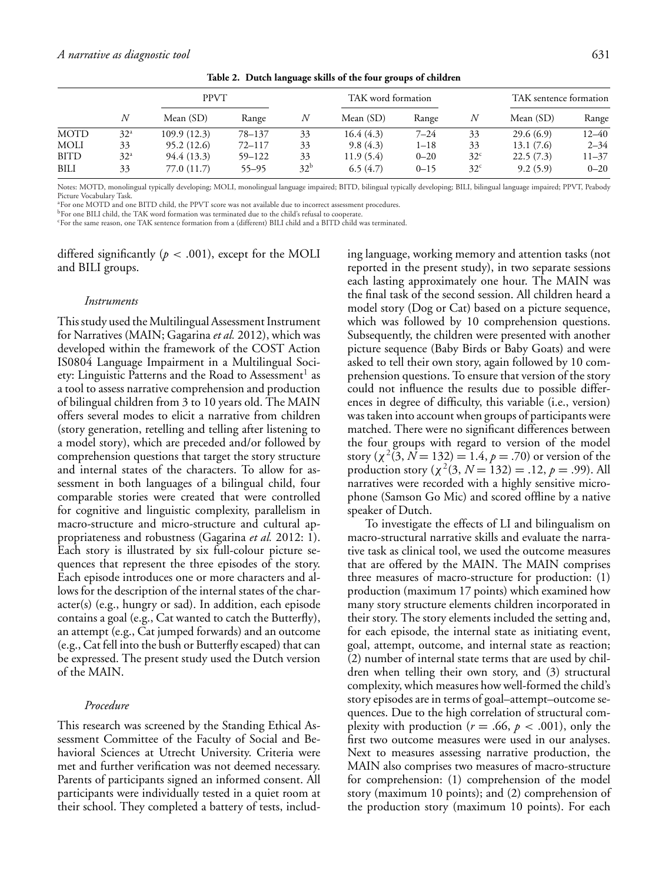|                 |             |            | TAK word formation |           |          |              | TAK sentence formation |           |  |
|-----------------|-------------|------------|--------------------|-----------|----------|--------------|------------------------|-----------|--|
| Ν               | Mean (SD)   | Range      | N                  | Mean (SD) | Range    | N            | Mean (SD)              | Range     |  |
| 32 <sup>a</sup> | 109.9(12.3) | 78-137     | 33                 | 16.4(4.3) | $7 - 24$ | 33           | 29.6(6.9)              | $12 - 40$ |  |
| 33              | 95.2(12.6)  | $72 - 117$ | 33                 | 9.8(4.3)  | $1 - 18$ | 33           | 13.1(7.6)              | $2 - 34$  |  |
| 32 <sup>a</sup> | 94.4 (13.3) | 59-122     | 33                 | 11.9(5.4) | $0 - 20$ | $32^{\circ}$ | 22.5(7.3)              | $11 - 37$ |  |
| 33              | 77.0 (11.7) | $55 - 95$  | 32 <sup>b</sup>    | 6.5(4.7)  | $0 - 15$ | $32^{\circ}$ | 9.2(5.9)               | $0 - 20$  |  |
|                 |             |            | <b>PPVT</b>        |           |          |              |                        |           |  |

**Table 2. Dutch language skills of the four groups of children**

Notes: MOTD, monolingual typically developing; MOLI, monolingual language impaired; BITD, bilingual typically developing; BILI, bilingual language impaired; PPVT, Peabody Picture Vocabulary Task.

a For one MOTD and one BITD child, the PPVT score was not available due to incorrect assessment procedures.

bFor one BILI child, the TAK word formation was terminated due to the child's refusal to cooperate.

c For the same reason, one TAK sentence formation from a (different) BILI child and a BITD child was terminated.

## differed significantly ( $p < .001$ ), except for the MOLI and BILI groups.

#### *Instruments*

This study used the Multilingual Assessment Instrument for Narratives (MAIN; Gagarina *et al.* 2012), which was developed within the framework of the COST Action IS0804 Language Impairment in a Multilingual Society: Linguistic Patterns and the Road to Assessment<sup>1</sup> as a tool to assess narrative comprehension and production of bilingual children from 3 to 10 years old. The MAIN offers several modes to elicit a narrative from children (story generation, retelling and telling after listening to a model story), which are preceded and/or followed by comprehension questions that target the story structure and internal states of the characters. To allow for assessment in both languages of a bilingual child, four comparable stories were created that were controlled for cognitive and linguistic complexity, parallelism in macro-structure and micro-structure and cultural appropriateness and robustness (Gagarina *et al.* 2012: 1). Each story is illustrated by six full-colour picture sequences that represent the three episodes of the story. Each episode introduces one or more characters and allows for the description of the internal states of the character(s) (e.g., hungry or sad). In addition, each episode contains a goal (e.g., Cat wanted to catch the Butterfly), an attempt (e.g., Cat jumped forwards) and an outcome (e.g., Cat fell into the bush or Butterfly escaped) that can be expressed. The present study used the Dutch version of the MAIN.

## *Procedure*

This research was screened by the Standing Ethical Assessment Committee of the Faculty of Social and Behavioral Sciences at Utrecht University. Criteria were met and further verification was not deemed necessary. Parents of participants signed an informed consent. All participants were individually tested in a quiet room at their school. They completed a battery of tests, including language, working memory and attention tasks (not reported in the present study), in two separate sessions each lasting approximately one hour. The MAIN was the final task of the second session. All children heard a model story (Dog or Cat) based on a picture sequence, which was followed by 10 comprehension questions. Subsequently, the children were presented with another picture sequence (Baby Birds or Baby Goats) and were asked to tell their own story, again followed by 10 comprehension questions. To ensure that version of the story could not influence the results due to possible differences in degree of difficulty, this variable (i.e., version) was taken into account when groups of participants were matched. There were no significant differences between the four groups with regard to version of the model story  $(\chi^2(3, N = 132) = 1.4, p = .70)$  or version of the production story  $(\chi^2(3, N = 132) = .12, p = .99)$ . All narratives were recorded with a highly sensitive microphone (Samson Go Mic) and scored offline by a native speaker of Dutch.

To investigate the effects of LI and bilingualism on macro-structural narrative skills and evaluate the narrative task as clinical tool, we used the outcome measures that are offered by the MAIN. The MAIN comprises three measures of macro-structure for production: (1) production (maximum 17 points) which examined how many story structure elements children incorporated in their story. The story elements included the setting and, for each episode, the internal state as initiating event, goal, attempt, outcome, and internal state as reaction; (2) number of internal state terms that are used by children when telling their own story, and (3) structural complexity, which measures how well-formed the child's story episodes are in terms of goal–attempt–outcome sequences. Due to the high correlation of structural complexity with production ( $r = .66$ ,  $p < .001$ ), only the first two outcome measures were used in our analyses. Next to measures assessing narrative production, the MAIN also comprises two measures of macro-structure for comprehension: (1) comprehension of the model story (maximum 10 points); and (2) comprehension of the production story (maximum 10 points). For each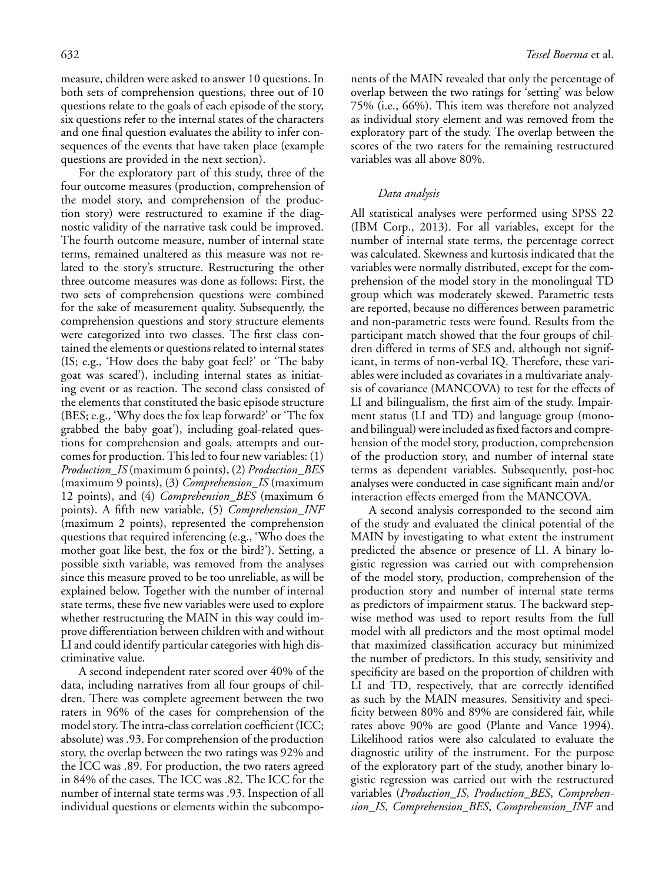measure, children were asked to answer 10 questions. In both sets of comprehension questions, three out of 10 questions relate to the goals of each episode of the story, six questions refer to the internal states of the characters and one final question evaluates the ability to infer consequences of the events that have taken place (example questions are provided in the next section).

For the exploratory part of this study, three of the four outcome measures (production, comprehension of the model story, and comprehension of the production story) were restructured to examine if the diagnostic validity of the narrative task could be improved. The fourth outcome measure, number of internal state terms, remained unaltered as this measure was not related to the story's structure. Restructuring the other three outcome measures was done as follows: First, the two sets of comprehension questions were combined for the sake of measurement quality. Subsequently, the comprehension questions and story structure elements were categorized into two classes. The first class contained the elements or questions related to internal states (IS; e.g., 'How does the baby goat feel?' or 'The baby goat was scared'), including internal states as initiating event or as reaction. The second class consisted of the elements that constituted the basic episode structure (BES; e.g., 'Why does the fox leap forward?' or 'The fox grabbed the baby goat'), including goal-related questions for comprehension and goals, attempts and outcomes for production. This led to four new variables: (1) *Production\_IS* (maximum 6 points), (2) *Production\_BES* (maximum 9 points), (3) *Comprehension\_IS* (maximum 12 points), and (4) *Comprehension\_BES* (maximum 6 points). A fifth new variable, (5) *Comprehension\_INF* (maximum 2 points), represented the comprehension questions that required inferencing (e.g., 'Who does the mother goat like best, the fox or the bird?'). Setting, a possible sixth variable, was removed from the analyses since this measure proved to be too unreliable, as will be explained below. Together with the number of internal state terms, these five new variables were used to explore whether restructuring the MAIN in this way could improve differentiation between children with and without LI and could identify particular categories with high discriminative value.

A second independent rater scored over 40% of the data, including narratives from all four groups of children. There was complete agreement between the two raters in 96% of the cases for comprehension of the model story. The intra-class correlation coefficient (ICC; absolute) was .93. For comprehension of the production story, the overlap between the two ratings was 92% and the ICC was .89. For production, the two raters agreed in 84% of the cases. The ICC was .82. The ICC for the number of internal state terms was .93. Inspection of all individual questions or elements within the subcomponents of the MAIN revealed that only the percentage of overlap between the two ratings for 'setting' was below 75% (i.e., 66%). This item was therefore not analyzed as individual story element and was removed from the exploratory part of the study. The overlap between the scores of the two raters for the remaining restructured variables was all above 80%.

## *Data analysis*

All statistical analyses were performed using SPSS 22 (IBM Corp., 2013). For all variables, except for the number of internal state terms, the percentage correct was calculated. Skewness and kurtosis indicated that the variables were normally distributed, except for the comprehension of the model story in the monolingual TD group which was moderately skewed. Parametric tests are reported, because no differences between parametric and non-parametric tests were found. Results from the participant match showed that the four groups of children differed in terms of SES and, although not significant, in terms of non-verbal IQ. Therefore, these variables were included as covariates in a multivariate analysis of covariance (MANCOVA) to test for the effects of LI and bilingualism, the first aim of the study. Impairment status (LI and TD) and language group (monoand bilingual) were included as fixed factors and comprehension of the model story, production, comprehension of the production story, and number of internal state terms as dependent variables. Subsequently, post-hoc analyses were conducted in case significant main and/or interaction effects emerged from the MANCOVA.

A second analysis corresponded to the second aim of the study and evaluated the clinical potential of the MAIN by investigating to what extent the instrument predicted the absence or presence of LI. A binary logistic regression was carried out with comprehension of the model story, production, comprehension of the production story and number of internal state terms as predictors of impairment status. The backward stepwise method was used to report results from the full model with all predictors and the most optimal model that maximized classification accuracy but minimized the number of predictors. In this study, sensitivity and specificity are based on the proportion of children with LI and TD, respectively, that are correctly identified as such by the MAIN measures. Sensitivity and specificity between 80% and 89% are considered fair, while rates above 90% are good (Plante and Vance 1994). Likelihood ratios were also calculated to evaluate the diagnostic utility of the instrument. For the purpose of the exploratory part of the study, another binary logistic regression was carried out with the restructured variables (*Production\_IS*, *Production\_BES*, *Comprehension\_IS*, *Comprehension\_BES*, *Comprehension\_INF* and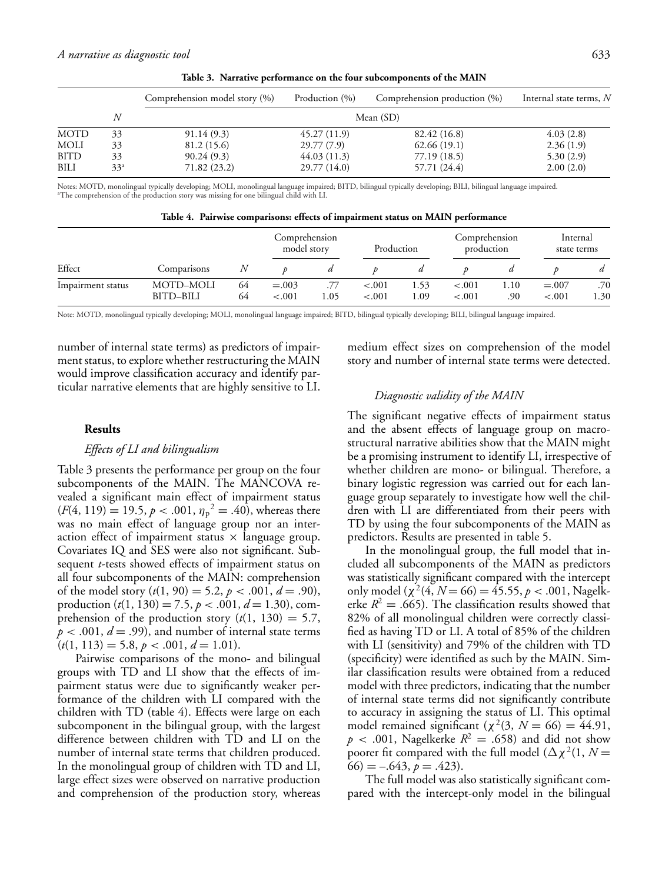|             |              | Comprehension model story (%) | Production (%) | Comprehension production (%) | Internal state terms, N |
|-------------|--------------|-------------------------------|----------------|------------------------------|-------------------------|
|             | N            |                               |                | Mean (SD)                    |                         |
| <b>MOTD</b> | 33           | 91.14(9.3)                    | 45.27(11.9)    | 82.42 (16.8)                 | 4.03(2.8)               |
| MOLI        | 33           | 81.2 (15.6)                   | 29.77(7.9)     | 62.66(19.1)                  | 2.36(1.9)               |
| <b>BITD</b> | 33           | 90.24(9.3)                    | 44.03(11.3)    | 77.19(18.5)                  | 5.30(2.9)               |
| <b>BILI</b> | $33^{\circ}$ | 71.82(23.2)                   | 29.77(14.0)    | 57.71 (24.4)                 | 2.00(2.0)               |

**Table 3. Narrative performance on the four subcomponents of the MAIN**

Notes: MOTD, monolingual typically developing; MOLI, monolingual language impaired; BITD, bilingual typically developing; BILI, bilingual language impaired. <sup>a</sup> The comprehension of the production story was missing for one bilingual child with LI.

|  | Table 4. Pairwise comparisons: effects of impairment status on MAIN performance |  |  |  |  |  |  |
|--|---------------------------------------------------------------------------------|--|--|--|--|--|--|
|--|---------------------------------------------------------------------------------|--|--|--|--|--|--|

|                   |                        |          | Comprehension<br>model story |      | Production         |              | Comprehension<br>production |             | Internal<br>state terms |             |
|-------------------|------------------------|----------|------------------------------|------|--------------------|--------------|-----------------------------|-------------|-------------------------|-------------|
| Effect            | Comparisons            | N        |                              |      |                    |              |                             |             |                         | a           |
| Impairment status | MOTD-MOLI<br>BITD-BILI | 64<br>64 | $=.003$<br>< .001            | 1.05 | $-.001$<br>$-.001$ | 1.53<br>1.09 | ${<}.001$<br>$-.001$        | 1.10<br>.90 | $= 0.007$<br>${<}.001$  | .70<br>1.30 |

Note: MOTD, monolingual typically developing; MOLI, monolingual language impaired; BITD, bilingual typically developing; BILI, bilingual language impaired.

number of internal state terms) as predictors of impairment status, to explore whether restructuring the MAIN would improve classification accuracy and identify particular narrative elements that are highly sensitive to LI.

## **Results**

#### *Effects of LI and bilingualism*

Table 3 presents the performance per group on the four subcomponents of the MAIN. The MANCOVA revealed a significant main effect of impairment status  $(F(4, 119) = 19.5, p < .001, \eta_p^2 = .40)$ , whereas there was no main effect of language group nor an interaction effect of impairment status  $\times$  language group. Covariates IQ and SES were also not significant. Subsequent *t*-tests showed effects of impairment status on all four subcomponents of the MAIN: comprehension of the model story  $(t(1, 90) = 5.2, p < .001, d = .90)$ , production  $(t(1, 130) = 7.5, p < .001, d = 1.30)$ , comprehension of the production story  $(t(1, 130) = 5.7$ ,  $p < .001, d = .99$ , and number of internal state terms  $(t(1, 113) = 5.8, p < .001, d = 1.01).$ 

Pairwise comparisons of the mono- and bilingual groups with TD and LI show that the effects of impairment status were due to significantly weaker performance of the children with LI compared with the children with TD (table 4). Effects were large on each subcomponent in the bilingual group, with the largest difference between children with TD and LI on the number of internal state terms that children produced. In the monolingual group of children with TD and LI, large effect sizes were observed on narrative production and comprehension of the production story, whereas medium effect sizes on comprehension of the model story and number of internal state terms were detected.

## *Diagnostic validity of the MAIN*

The significant negative effects of impairment status and the absent effects of language group on macrostructural narrative abilities show that the MAIN might be a promising instrument to identify LI, irrespective of whether children are mono- or bilingual. Therefore, a binary logistic regression was carried out for each language group separately to investigate how well the children with LI are differentiated from their peers with TD by using the four subcomponents of the MAIN as predictors. Results are presented in table 5.

In the monolingual group, the full model that included all subcomponents of the MAIN as predictors was statistically significant compared with the intercept only model  $(\chi^2(4, N = 66) = 45.55, p < .001,$  Nagelkerke  $R^2 = .665$ ). The classification results showed that 82% of all monolingual children were correctly classified as having TD or LI. A total of 85% of the children with LI (sensitivity) and 79% of the children with TD (specificity) were identified as such by the MAIN. Similar classification results were obtained from a reduced model with three predictors, indicating that the number of internal state terms did not significantly contribute to accuracy in assigning the status of LI. This optimal model remained significant ( $\chi^2(3, N = 66) = 44.91$ ,  $p < .001$ , Nagelkerke  $R^2 = .658$ ) and did not show poorer fit compared with the full model  $(\Delta \chi^2(1, N =$  $(66) = -.643, p = .423$ .

The full model was also statistically significant compared with the intercept-only model in the bilingual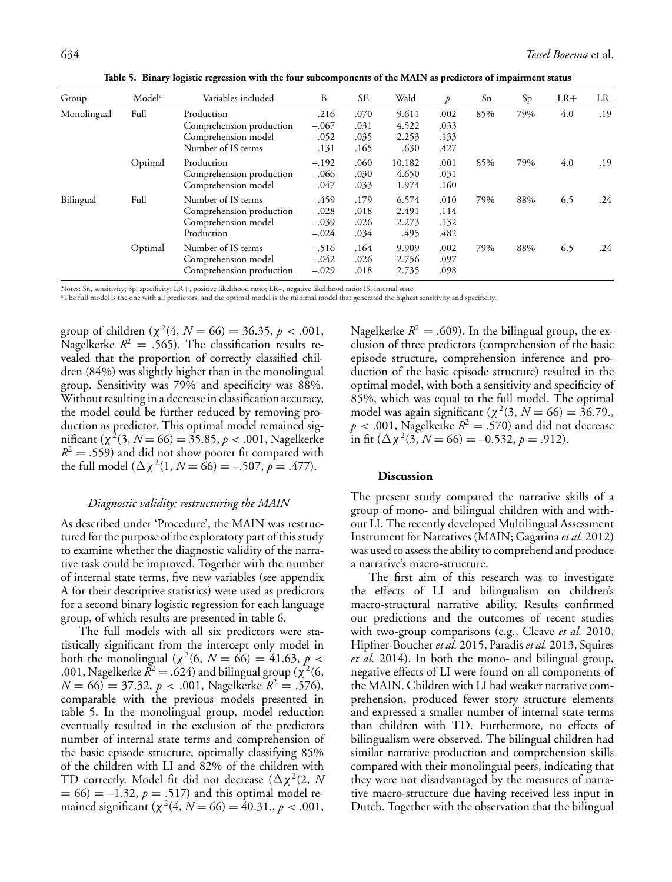| Group       | Model <sup>a</sup> | Variables included       | B       | <b>SE</b> | Wald   | $\mathcal{P}$ | Sn  | Sp  | $LR+$ | $LR-$ |
|-------------|--------------------|--------------------------|---------|-----------|--------|---------------|-----|-----|-------|-------|
| Monolingual | Full               | Production               | $-.216$ | .070      | 9.611  | .002          | 85% | 79% | 4.0   | .19   |
|             |                    | Comprehension production | $-.067$ | .031      | 4.522  | .033          |     |     |       |       |
|             |                    | Comprehension model      | $-.052$ | .035      | 2.253  | .133          |     |     |       |       |
|             |                    | Number of IS terms       | .131    | .165      | .630   | .427          |     |     |       |       |
|             | Optimal            | Production               | $-.192$ | .060      | 10.182 | .001          | 85% | 79% | 4.0   | .19   |
|             |                    | Comprehension production | $-.066$ | .030      | 4.650  | .031          |     |     |       |       |
|             |                    | Comprehension model      | $-.047$ | .033      | 1.974  | .160          |     |     |       |       |
| Bilingual   | Full               | Number of IS terms       | $-.459$ | .179      | 6.574  | .010          | 79% | 88% | 6.5   | .24   |
|             |                    | Comprehension production | $-.028$ | .018      | 2.491  | .114          |     |     |       |       |
|             |                    | Comprehension model      | $-.039$ | .026      | 2.273  | .132          |     |     |       |       |
|             |                    | Production               | $-.024$ | .034      | .495   | .482          |     |     |       |       |
|             | Optimal            | Number of IS terms       | $-.516$ | .164      | 9.909  | .002          | 79% | 88% | 6.5   | .24   |
|             |                    | Comprehension model      | $-.042$ | .026      | 2.756  | .097          |     |     |       |       |
|             |                    | Comprehension production | $-.029$ | .018      | 2.735  | .098          |     |     |       |       |

**Table 5. Binary logistic regression with the four subcomponents of the MAIN as predictors of impairment status**

Notes: Sn, sensitivity; Sp, specificity; LR+, positive likelihood ratio; LR–, negative likelihood ratio; IS, internal state.<br>\*The full model is the one with all predictors, and the optimal model is the minimal model that g

group of children ( $\chi^2$ (4, *N* = 66) = 36.35, *p* < .001, Nagelkerke  $R^2 = .565$ ). The classification results revealed that the proportion of correctly classified children (84%) was slightly higher than in the monolingual group. Sensitivity was 79% and specificity was 88%. Without resulting in a decrease in classification accuracy, the model could be further reduced by removing production as predictor. This optimal model remained significant  $(\chi^2(3, N = 66) = 35.85, p < .001,$  Nagelkerke  $R^2 = 0.559$  and did not show poorer fit compared with the full model  $(\Delta \chi^2(1, N = 66) = -.507, p = .477)$ .

#### *Diagnostic validity: restructuring the MAIN*

As described under 'Procedure', the MAIN was restructured for the purpose of the exploratory part of this study to examine whether the diagnostic validity of the narrative task could be improved. Together with the number of internal state terms, five new variables (see appendix A for their descriptive statistics) were used as predictors for a second binary logistic regression for each language group, of which results are presented in table 6.

The full models with all six predictors were statistically significant from the intercept only model in both the monolingual ( $χ$ <sup>2</sup>(6, *N* = 66) = 41.63, *p* < .001, Nagelkerke  $R^2 = .624$ ) and bilingual group ( $\chi^2(6,$  $N = 66$ ) = 37.32, *p* < .001, Nagelkerke  $R^2 = .576$ ), comparable with the previous models presented in table 5. In the monolingual group, model reduction eventually resulted in the exclusion of the predictors number of internal state terms and comprehension of the basic episode structure, optimally classifying 85% of the children with LI and 82% of the children with TD correctly. Model fit did not decrease ( $\Delta \chi^2$ (2, *N*  $= 66$ )  $= -1.32, p = .517$  and this optimal model remained significant  $(\chi^2(4, N = 66) = 40.31., p < .001,$ 

Nagelkerke  $R^2 = .609$ ). In the bilingual group, the exclusion of three predictors (comprehension of the basic episode structure, comprehension inference and production of the basic episode structure) resulted in the optimal model, with both a sensitivity and specificity of 85%, which was equal to the full model. The optimal model was again significant ( $\chi^2$ (3, *N* = 66) = 36.79.,  $p < .001$ , Nagelkerke  $R^2 = .570$ ) and did not decrease in fit  $(\Delta \chi^2(3, N = 66) = -0.532, p = .912)$ .

## **Discussion**

The present study compared the narrative skills of a group of mono- and bilingual children with and without LI. The recently developed Multilingual Assessment Instrument for Narratives (MAIN; Gagarina *et al.* 2012) was used to assess the ability to comprehend and produce a narrative's macro-structure.

The first aim of this research was to investigate the effects of LI and bilingualism on children's macro-structural narrative ability. Results confirmed our predictions and the outcomes of recent studies with two-group comparisons (e.g., Cleave *et al.* 2010, Hipfner-Boucher *et al.* 2015, Paradis *et al.* 2013, Squires *et al.* 2014). In both the mono- and bilingual group, negative effects of LI were found on all components of the MAIN. Children with LI had weaker narrative comprehension, produced fewer story structure elements and expressed a smaller number of internal state terms than children with TD. Furthermore, no effects of bilingualism were observed. The bilingual children had similar narrative production and comprehension skills compared with their monolingual peers, indicating that they were not disadvantaged by the measures of narrative macro-structure due having received less input in Dutch. Together with the observation that the bilingual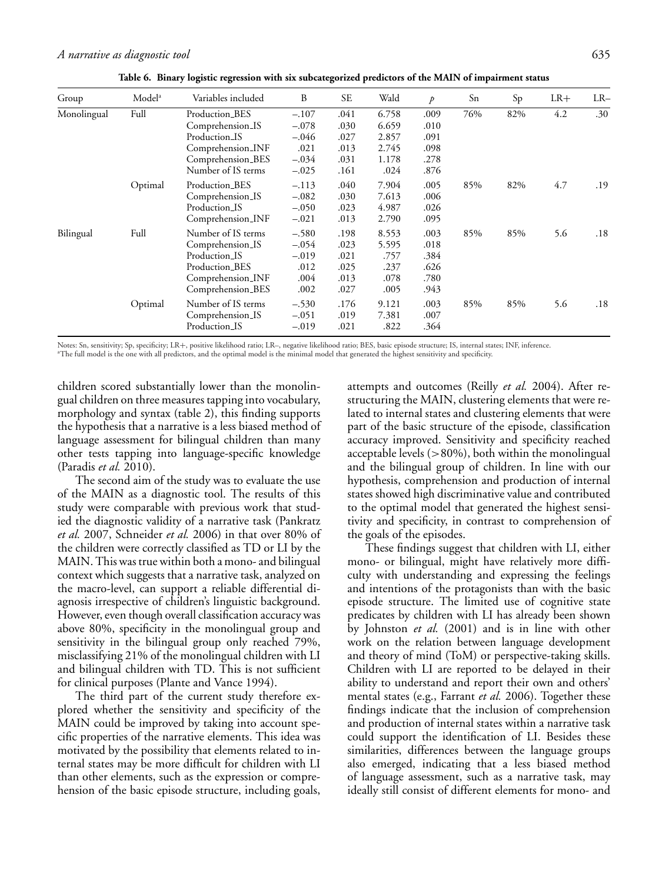| Group       | Model <sup>a</sup> | Variables included        | B       | SE   | Wald  | $\mathcal{P}$ | Sn  | Sp  | $LR+$ | $LR-$ |
|-------------|--------------------|---------------------------|---------|------|-------|---------------|-----|-----|-------|-------|
| Monolingual | Full               | Production_BES            | $-.107$ | .041 | 6.758 | .009          | 76% | 82% | 4.2   | .30   |
|             |                    | Comprehension_IS          | $-.078$ | .030 | 6.659 | .010          |     |     |       |       |
|             |                    | Production_IS             | $-.046$ | .027 | 2.857 | .091          |     |     |       |       |
|             |                    | Comprehension_INF         | .021    | .013 | 2.745 | .098          |     |     |       |       |
|             |                    | Comprehension_BES         | $-.034$ | .031 | 1.178 | .278          |     |     |       |       |
|             |                    | Number of IS terms        | $-.025$ | .161 | .024  | .876          |     |     |       |       |
|             | Optimal            | Production_BES            | $-.113$ | .040 | 7.904 | .005          | 85% | 82% | 4.7   | .19   |
|             |                    | Comprehension_IS          | $-.082$ | .030 | 7.613 | .006          |     |     |       |       |
|             |                    | Production_IS             | $-.050$ | .023 | 4.987 | .026          |     |     |       |       |
|             |                    | Comprehension_INF         | $-.021$ | .013 | 2.790 | .095          |     |     |       |       |
| Bilingual   | Full               | Number of IS terms        | $-.580$ | .198 | 8.553 | .003          | 85% | 85% | 5.6   | .18   |
|             |                    | Comprehension_IS          | $-.054$ | .023 | 5.595 | .018          |     |     |       |       |
|             |                    | Production_IS             | $-.019$ | .021 | .757  | .384          |     |     |       |       |
|             |                    | Production_BES            | .012    | .025 | .237  | .626          |     |     |       |       |
|             |                    | Comprehension_INF         | .004    | .013 | .078  | .780          |     |     |       |       |
|             |                    | Comprehension_BES         | .002    | .027 | .005  | .943          |     |     |       |       |
|             | Optimal            | Number of IS terms        | $-.530$ | .176 | 9.121 | .003          | 85% | 85% | 5.6   | .18   |
|             |                    | Comprehension_IS          | $-.051$ | .019 | 7.381 | .007          |     |     |       |       |
|             |                    | Production <sub>-IS</sub> | $-.019$ | .021 | .822  | .364          |     |     |       |       |

**Table 6. Binary logistic regression with six subcategorized predictors of the MAIN of impairment status**

Notes: Sn, sensitivity; Sp, specificity; LR+, positive likelihood ratio; LR–, negative likelihood ratio; BES, basic episode structure; IS, internal states; INF, inference. <sup>a</sup>

<sup>a</sup>The full model is the one with all predictors, and the optimal model is the minimal model that generated the highest sensitivity and specificity.

children scored substantially lower than the monolingual children on three measures tapping into vocabulary, morphology and syntax (table 2), this finding supports the hypothesis that a narrative is a less biased method of language assessment for bilingual children than many other tests tapping into language-specific knowledge (Paradis *et al.* 2010).

The second aim of the study was to evaluate the use of the MAIN as a diagnostic tool. The results of this study were comparable with previous work that studied the diagnostic validity of a narrative task (Pankratz *et al.* 2007, Schneider *et al.* 2006) in that over 80% of the children were correctly classified as TD or LI by the MAIN. This was true within both a mono- and bilingual context which suggests that a narrative task, analyzed on the macro-level, can support a reliable differential diagnosis irrespective of children's linguistic background. However, even though overall classification accuracy was above 80%, specificity in the monolingual group and sensitivity in the bilingual group only reached 79%, misclassifying 21% of the monolingual children with LI and bilingual children with TD. This is not sufficient for clinical purposes (Plante and Vance 1994).

The third part of the current study therefore explored whether the sensitivity and specificity of the MAIN could be improved by taking into account specific properties of the narrative elements. This idea was motivated by the possibility that elements related to internal states may be more difficult for children with LI than other elements, such as the expression or comprehension of the basic episode structure, including goals, attempts and outcomes (Reilly *et al.* 2004). After restructuring the MAIN, clustering elements that were related to internal states and clustering elements that were part of the basic structure of the episode, classification accuracy improved. Sensitivity and specificity reached acceptable levels  $(>80\%)$ , both within the monolingual and the bilingual group of children. In line with our hypothesis, comprehension and production of internal states showed high discriminative value and contributed to the optimal model that generated the highest sensitivity and specificity, in contrast to comprehension of the goals of the episodes.

These findings suggest that children with LI, either mono- or bilingual, might have relatively more difficulty with understanding and expressing the feelings and intentions of the protagonists than with the basic episode structure. The limited use of cognitive state predicates by children with LI has already been shown by Johnston *et al.* (2001) and is in line with other work on the relation between language development and theory of mind (ToM) or perspective-taking skills. Children with LI are reported to be delayed in their ability to understand and report their own and others' mental states (e.g., Farrant *et al.* 2006). Together these findings indicate that the inclusion of comprehension and production of internal states within a narrative task could support the identification of LI. Besides these similarities, differences between the language groups also emerged, indicating that a less biased method of language assessment, such as a narrative task, may ideally still consist of different elements for mono- and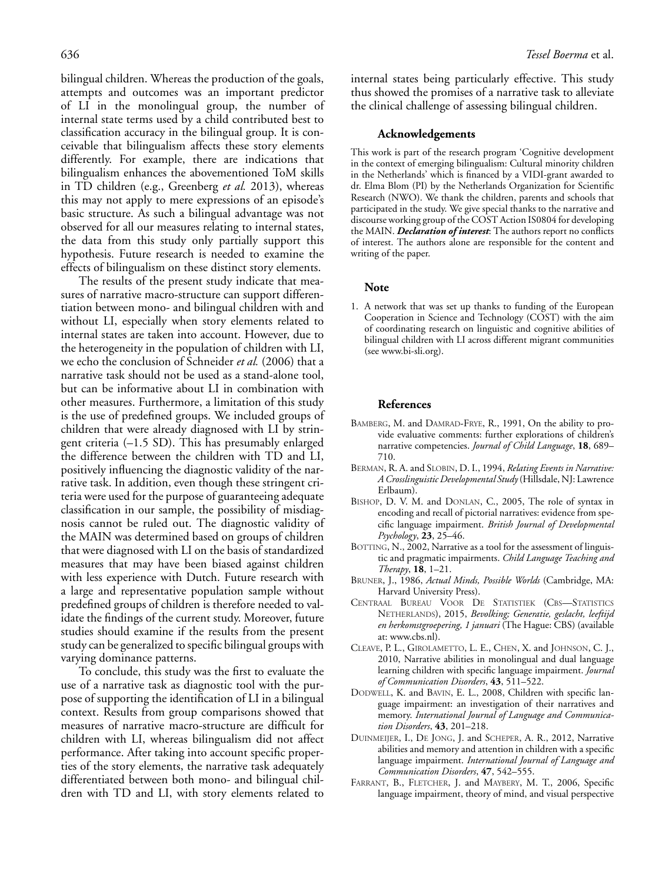bilingual children. Whereas the production of the goals, attempts and outcomes was an important predictor of LI in the monolingual group, the number of internal state terms used by a child contributed best to classification accuracy in the bilingual group. It is conceivable that bilingualism affects these story elements differently. For example, there are indications that bilingualism enhances the abovementioned ToM skills in TD children (e.g., Greenberg *et al.* 2013), whereas this may not apply to mere expressions of an episode's basic structure. As such a bilingual advantage was not observed for all our measures relating to internal states, the data from this study only partially support this hypothesis. Future research is needed to examine the effects of bilingualism on these distinct story elements.

The results of the present study indicate that measures of narrative macro-structure can support differentiation between mono- and bilingual children with and without LI, especially when story elements related to internal states are taken into account. However, due to the heterogeneity in the population of children with LI, we echo the conclusion of Schneider *et al.* (2006) that a narrative task should not be used as a stand-alone tool, but can be informative about LI in combination with other measures. Furthermore, a limitation of this study is the use of predefined groups. We included groups of children that were already diagnosed with LI by stringent criteria (–1.5 SD). This has presumably enlarged the difference between the children with TD and LI, positively influencing the diagnostic validity of the narrative task. In addition, even though these stringent criteria were used for the purpose of guaranteeing adequate classification in our sample, the possibility of misdiagnosis cannot be ruled out. The diagnostic validity of the MAIN was determined based on groups of children that were diagnosed with LI on the basis of standardized measures that may have been biased against children with less experience with Dutch. Future research with a large and representative population sample without predefined groups of children is therefore needed to validate the findings of the current study. Moreover, future studies should examine if the results from the present study can be generalized to specific bilingual groups with varying dominance patterns.

To conclude, this study was the first to evaluate the use of a narrative task as diagnostic tool with the purpose of supporting the identification of LI in a bilingual context. Results from group comparisons showed that measures of narrative macro-structure are difficult for children with LI, whereas bilingualism did not affect performance. After taking into account specific properties of the story elements, the narrative task adequately differentiated between both mono- and bilingual children with TD and LI, with story elements related to internal states being particularly effective. This study thus showed the promises of a narrative task to alleviate the clinical challenge of assessing bilingual children.

#### **Acknowledgements**

This work is part of the research program 'Cognitive development in the context of emerging bilingualism: Cultural minority children in the Netherlands' which is financed by a VIDI-grant awarded to dr. Elma Blom (PI) by the Netherlands Organization for Scientific Research (NWO). We thank the children, parents and schools that participated in the study. We give special thanks to the narrative and discourse working group of the COST Action IS0804 for developing the MAIN. *Declaration of interest*: The authors report no conflicts of interest. The authors alone are responsible for the content and writing of the paper.

#### **Note**

1. A network that was set up thanks to funding of the European Cooperation in Science and Technology (COST) with the aim of coordinating research on linguistic and cognitive abilities of bilingual children with LI across different migrant communities (see [www.bi-sli.org\)](http://www.bi-sli.org).

#### **References**

- BAMBERG, M. and DAMRAD-FRYE, R., 1991, On the ability to provide evaluative comments: further explorations of children's narrative competencies. *Journal of Child Language*, **18**, 689– 710.
- BERMAN, R. A. and SLOBIN, D. I., 1994, *Relating Events in Narrative: A Crosslinguistic Developmental Study*(Hillsdale, NJ: Lawrence Erlbaum).
- BISHOP, D. V. M. and DONLAN, C., 2005, The role of syntax in encoding and recall of pictorial narratives: evidence from specific language impairment. *British Journal of Developmental Psychology*, **23**, 25–46.
- BOTTING, N., 2002, Narrative as a tool for the assessment of linguistic and pragmatic impairments. *Child Language Teaching and Therapy*, **18**, 1–21.
- BRUNER, J., 1986, *Actual Minds, Possible Worlds* (Cambridge, MA: Harvard University Press).
- CENTRAAL BUREAU VOOR DE STATISTIEK (CBS—STATISTICS NETHERLANDS), 2015, *Bevolking; Generatie, geslacht, leeftijd en herkomstgroepering, 1 januari* (The Hague: CBS) (available at: [www.cbs.nl\)](http://www.cbs.nl).
- CLEAVE, P. L., GIROLAMETTO, L. E., CHEN, X. and JOHNSON, C. J., 2010, Narrative abilities in monolingual and dual language learning children with specific language impairment. *Journal of Communication Disorders*, **43**, 511–522.
- DODWELL, K. and BAVIN, E. L., 2008, Children with specific language impairment: an investigation of their narratives and memory. *International Journal of Language and Communication Disorders*, **43**, 201–218.
- DUINMEIJER, I., DE JONG, J. and SCHEPER, A. R., 2012, Narrative abilities and memory and attention in children with a specific language impairment. *International Journal of Language and Communication Disorders*, **47**, 542–555.
- FARRANT, B., FLETCHER, J. and MAYBERY, M. T., 2006, Specific language impairment, theory of mind, and visual perspective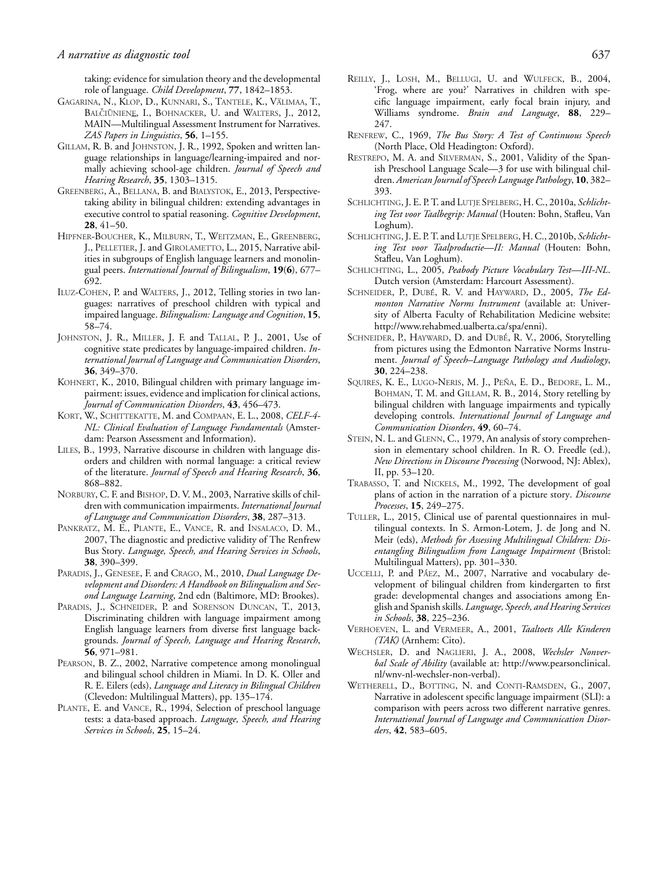taking: evidence for simulation theory and the developmental role of language. *Child Development*, **77**, 1842–1853.

- GAGARINA, N., KLOP, D., KUNNARI, S., TANTELE, K., VÄLIMAA, T., BALČIŪNIENE, I., BOHNACKER, U. and WALTERS, J., 2012, MAIN—Multilingual Assessment Instrument for Narratives. *ZAS Papers in Linguistics*, **56**, 1–155.
- GILLAM, R. B. and JOHNSTON, J. R., 1992, Spoken and written language relationships in language/learning-impaired and normally achieving school-age children. *Journal of Speech and Hearing Research*, **35**, 1303–1315.
- GREENBERG, A., BELLANA, B. and BIALYSTOK, E., 2013, Perspectivetaking ability in bilingual children: extending advantages in executive control to spatial reasoning. *Cognitive Development*, **28**, 41–50.
- HIPFNER-BOUCHER, K., MILBURN, T., WEITZMAN, E., GREENBERG, J., PELLETIER, J. and GIROLAMETTO, L., 2015, Narrative abilities in subgroups of English language learners and monolingual peers. *International Journal of Bilingualism*, **19**(**6**), 677– 692.
- ILUZ-COHEN, P. and WALTERS, J., 2012, Telling stories in two languages: narratives of preschool children with typical and impaired language. *Bilingualism: Language and Cognition*, **15**, 58–74.
- JOHNSTON, J. R., MILLER, J. F. and TALLAL, P. J., 2001, Use of cognitive state predicates by language-impaired children. *International Journal of Language and Communication Disorders*, **36**, 349–370.
- KOHNERT, K., 2010, Bilingual children with primary language impairment: issues, evidence and implication for clinical actions, *Journal of Communication Disorders*, **43**, 456–473.
- KORT, W., SCHITTEKATTE, M. and COMPAAN, E. L., 2008, *CELF-4- NL: Clinical Evaluation of Language Fundamentals* (Amsterdam: Pearson Assessment and Information).
- LILES, B., 1993, Narrative discourse in children with language disorders and children with normal language: a critical review of the literature. *Journal of Speech and Hearing Research*, **36**, 868–882.
- NORBURY, C. F. and BISHOP, D. V. M., 2003, Narrative skills of children with communication impairments. *International Journal of Language and Communication Disorders*, **38**, 287–313.
- PANKRATZ, M. E., PLANTE, E., VANCE, R. and INSALACO, D. M., 2007, The diagnostic and predictive validity of The Renfrew Bus Story. *Language, Speech, and Hearing Services in Schools*, **38**, 390–399.
- PARADIS, J., GENESEE, F. and CRAGO, M., 2010, *Dual Language Development and Disorders: A Handbook on Bilingualism and Second Language Learning*, 2nd edn (Baltimore, MD: Brookes).
- PARADIS, J., SCHNEIDER, P. and SORENSON DUNCAN, T., 2013, Discriminating children with language impairment among English language learners from diverse first language backgrounds. *Journal of Speech, Language and Hearing Research*, **56**, 971–981.
- PEARSON, B. Z., 2002, Narrative competence among monolingual and bilingual school children in Miami. In D. K. Oller and R. E. Eilers (eds), *Language and Literacy in Bilingual Children* (Clevedon: Multilingual Matters), pp. 135–174.
- PLANTE, E. and VANCE, R., 1994, Selection of preschool language tests: a data-based approach. *Language, Speech, and Hearing Services in Schools*, **25**, 15–24.
- REILLY, J., LOSH, M., BELLUGI, U. and WULFECK, B., 2004, 'Frog, where are you?' Narratives in children with specific language impairment, early focal brain injury, and Williams syndrome. *Brain and Language*, **88**, 229– 247.
- RENFREW, C., 1969, *The Bus Story: A Test of Continuous Speech* (North Place, Old Headington: Oxford).
- RESTREPO, M. A. and SILVERMAN, S., 2001, Validity of the Spanish Preschool Language Scale—3 for use with bilingual children. *American Journal of Speech Language Pathology*, **10**, 382– 393.
- SCHLICHTING, J. E. P. T. and LUTJE SPELBERG, H. C., 2010a, *Schlichting Test voor Taalbegrip: Manual* (Houten: Bohn, Stafleu, Van Loghum).
- SCHLICHTING, J. E. P. T. and LUTJE SPELBERG, H. C., 2010b, *Schlichting Test voor Taalproductie—II: Manual* (Houten: Bohn, Stafleu, Van Loghum).
- SCHLICHTING, L., 2005, *Peabody Picture Vocabulary Test—III-NL*. Dutch version (Amsterdam: Harcourt Assessment).
- SCHNEIDER, P., DUBÉ, R. V. and HAYWARD, D., 2005, The Ed*monton Narrative Norms Instrument* (available at: University of Alberta Faculty of Rehabilitation Medicine website: [http://www.rehabmed.ualberta.ca/spa/enni\)](http://www.rehabmed.ualberta.ca/spa/enni).
- SCHNEIDER, P., HAYWARD, D. and DUBÉ, R. V., 2006, Storytelling from pictures using the Edmonton Narrative Norms Instrument. *Journal of Speech–Language Pathology and Audiology*, **30**, 224–238.
- SQUIRES, K. E., LUGO-NERIS, M. J., PEÑA, E. D., BEDORE, L. M., BOHMAN, T. M. and GILLAM, R. B., 2014, Story retelling by bilingual children with language impairments and typically developing controls. *International Journal of Language and Communication Disorders*, **49**, 60–74.
- STEIN, N. L. and GLENN, C., 1979, An analysis of story comprehension in elementary school children. In R. O. Freedle (ed.), *New Directions in Discourse Processing* (Norwood, NJ: Ablex), II, pp. 53–120.
- TRABASSO, T. and NICKELS, M., 1992, The development of goal plans of action in the narration of a picture story. *Discourse Processes*, **15**, 249–275.
- TULLER, L., 2015, Clinical use of parental questionnaires in multilingual contexts. In S. Armon-Lotem, J. de Jong and N. Meir (eds), *Methods for Assessing Multilingual Children: Disentangling Bilingualism from Language Impairment* (Bristol: Multilingual Matters), pp. 301–330.
- UCCELLI, P. and PÁEZ, M., 2007, Narrative and vocabulary development of bilingual children from kindergarten to first grade: developmental changes and associations among English and Spanish skills. *Language, Speech, and Hearing Services in Schools*, **38**, 225–236.
- VERHOEVEN, L. and VERMEER, A., 2001, *Taaltoets Alle Kinderen (TAK)* (Arnhem: Cito).
- WECHSLER, D. and NAGLIERI, J. A., 2008, *Wechsler Nonverbal Scale of Ability* (available at: [http://www.pearsonclinical.](http://www.pearsonclinical.nl/wnv-nl-wechsler-non-verbal) [nl/wnv-nl-wechsler-non-verbal\)](http://www.pearsonclinical.nl/wnv-nl-wechsler-non-verbal).
- WETHERELL, D., BOTTING, N. and CONTI-RAMSDEN, G., 2007, Narrative in adolescent specific language impairment (SLI): a comparison with peers across two different narrative genres. *International Journal of Language and Communication Disorders*, **42**, 583–605.